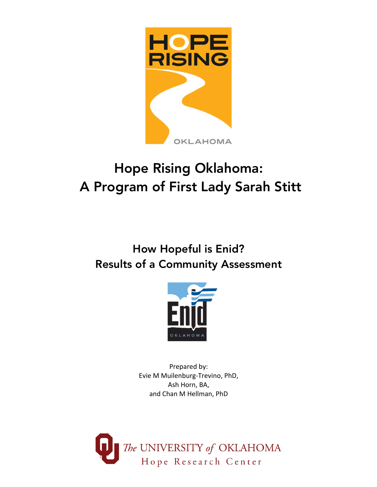

# Hope Rising Oklahoma: A Program of First Lady Sarah Stitt

# How Hopeful is Enid? Results of a Community Assessment



Prepared by: Evie M Muilenburg-Trevino, PhD, Ash Horn, BA, and Chan M Hellman, PhD

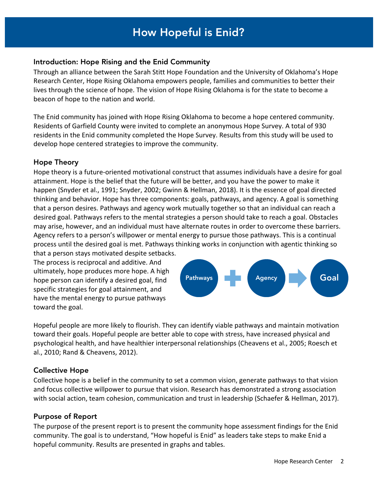#### How How Hopeful is the Enid Community? How Hopeful is Enid?

#### Introduction: Hope Rising and the Enid Community

Through an alliance between the Sarah Stitt Hope Foundation and the University of Oklahoma's Hope Research Center, Hope Rising Oklahoma empowers people, families and communities to better their lives through the science of hope. The vision of Hope Rising Oklahoma is for the state to become a beacon of hope to the nation and world.

The Enid community has joined with Hope Rising Oklahoma to become a hope centered community. Residents of Garfield County were invited to complete an anonymous Hope Survey. A total of 930 residents in the Enid community completed the Hope Survey. Results from this study will be used to develop hope centered strategies to improve the community.

#### Hope Theory

Hope theory is a future-oriented motivational construct that assumes individuals have a desire for goal attainment. Hope is the belief that the future will be better, and you have the power to make it happen (Snyder et al., 1991; Snyder, 2002; Gwinn & Hellman, 2018). It is the essence of goal directed thinking and behavior. Hope has three components: goals, pathways, and agency. A goal is something that a person desires. Pathways and agency work mutually together so that an individual can reach a desired goal. Pathways refers to the mental strategies a person should take to reach a goal. Obstacles may arise, however, and an individual must have alternate routes in order to overcome these barriers. Agency refers to a person's willpower or mental energy to pursue those pathways. This is a continual process until the desired goal is met. Pathways thinking works in conjunction with agentic thinking so

that a person stays motivated despite setbacks. The process is reciprocal and additive. And ultimately, hope produces more hope. A high hope person can identify a desired goal, find specific strategies for goal attainment, and have the mental energy to pursue pathways toward the goal.



Hopeful people are more likely to flourish. They can identify viable pathways and maintain motivation toward their goals. Hopeful people are better able to cope with stress, have increased physical and psychological health, and have healthier interpersonal relationships (Cheavens et al., 2005; Roesch et al., 2010; Rand & Cheavens, 2012).

#### Collective Hope

Collective hope is a belief in the community to set a common vision, generate pathways to that vision and focus collective willpower to pursue that vision. Research has demonstrated a strong association with social action, team cohesion, communication and trust in leadership (Schaefer & Hellman, 2017).

#### Purpose of Report

The purpose of the present report is to present the community hope assessment findings for the Enid community. The goal is to understand, "How hopeful is Enid" as leaders take steps to make Enid a hopeful community. Results are presented in graphs and tables.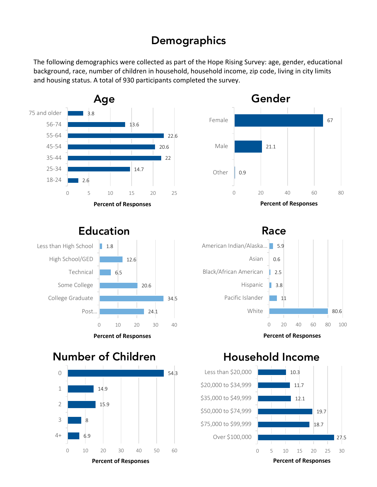## **Demographics**

The following demographics were collected as part of the Hope Rising Survey: age, gender, educational background, race, number of children in household, household income, zip code, living in city limits and housing status. A total of 930 participants completed the survey.





### Education



Race



**Percent of Responses**

## Number of Children



### Household Income

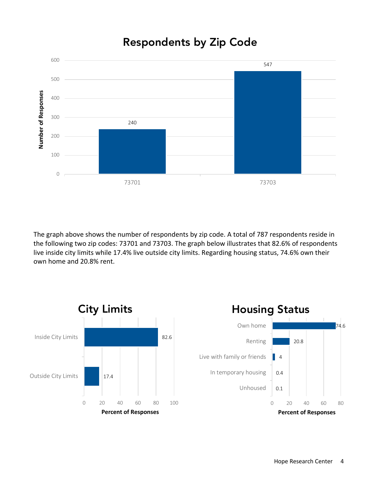## Respondents by Zip Code



The graph above shows the number of respondents by zip code. A total of 787 respondents reside in the following two zip codes: 73701 and 73703. The graph below illustrates that 82.6% of respondents live inside city limits while 17.4% live outside city limits. Regarding housing status, 74.6% own their own home and 20.8% rent.

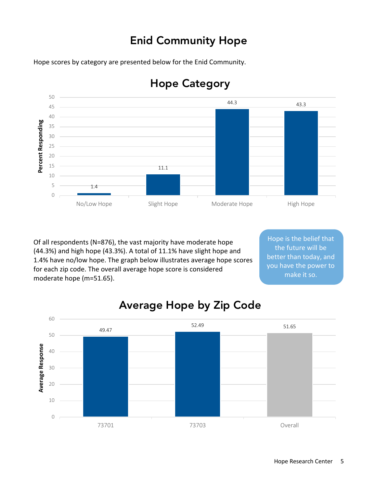## Enid Community Hope

Hope scores by category are presented below for the Enid Community.



## Hope Category

Of all respondents (N=876), the vast majority have moderate hope (44.3%) and high hope (43.3%). A total of 11.1% have slight hope and 1.4% have no/low hope. The graph below illustrates average hope scores for each zip code. The overall average hope score is considered moderate hope (m=51.65).

Hope is the belief that the future will be better than today, and you have the power to make it so.



## Average Hope by Zip Code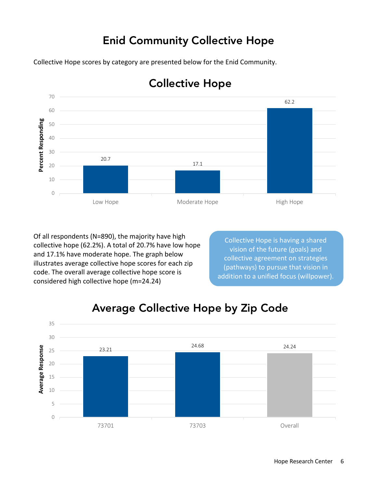## Enid Community Collective Hope

Collective Hope scores by category are presented below for the Enid Community.



## Collective Hope

Of all respondents (N=890), the majority have high collective hope (62.2%). A total of 20.7% have low hope and 17.1% have moderate hope. The graph below illustrates average collective hope scores for each zip code. The overall average collective hope score is considered high collective hope (m=24.24)

Collective Hope is having a shared vision of the future (goals) and collective agreement on strategies (pathways) to pursue that vision in addition to a unified focus (willpower).



## Average Collective Hope by Zip Code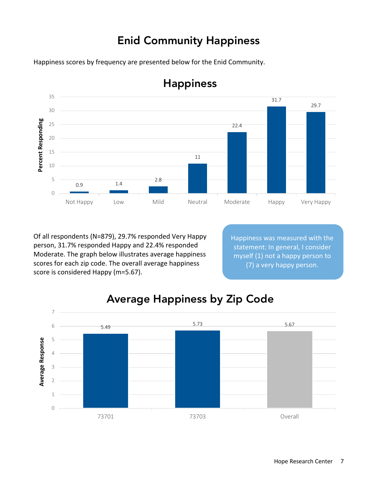## Enid Community Happiness

Happiness scores by frequency are presented below for the Enid Community.



## Happiness

Of all respondents (N=879), 29.7% responded Very Happy person, 31.7% responded Happy and 22.4% responded Moderate. The graph below illustrates average happiness scores for each zip code. The overall average happiness score is considered Happy (m=5.67).

Happiness was measured with the statement: In general, I consider myself (1) not a happy person to (7) a very happy person.



## Average Happiness by Zip Code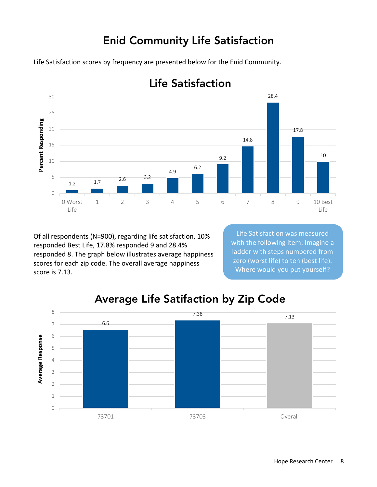## Enid Community Life Satisfaction

Life Satisfaction scores by frequency are presented below for the Enid Community.



## Life Satisfaction

Of all respondents (N=900), regarding life satisfaction, 10% responded Best Life, 17.8% responded 9 and 28.4% responded 8. The graph below illustrates average happiness scores for each zip code. The overall average happiness score is 7.13.

Life Satisfaction was measured with the following item: Imagine a ladder with steps numbered from zero (worst life) to ten (best life). Where would you put yourself?



## Average Life Satifaction by Zip Code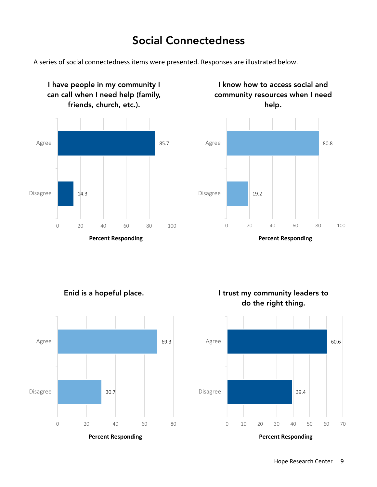## Social Connectedness

A series of social connectedness items were presented. Responses are illustrated below.



I have people in my community I

I know how to access social and community resources when I need





**Percent Responding**

Enid is a hopeful place.



I trust my community leaders to do the right thing.

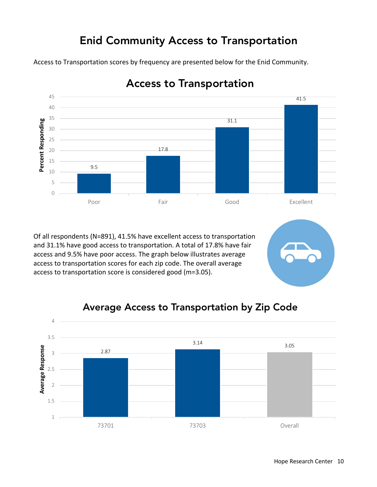## Enid Community Access to Transportation

Access to Transportation scores by frequency are presented below for the Enid Community.



Access to Transportation

Of all respondents (N=891), 41.5% have excellent access to transportation and 31.1% have good access to transportation. A total of 17.8% have fair access and 9.5% have poor access. The graph below illustrates average access to transportation scores for each zip code. The overall average access to transportation score is considered good (m=3.05).

### Average Access to Transportation by Zip Code

![](_page_9_Figure_6.jpeg)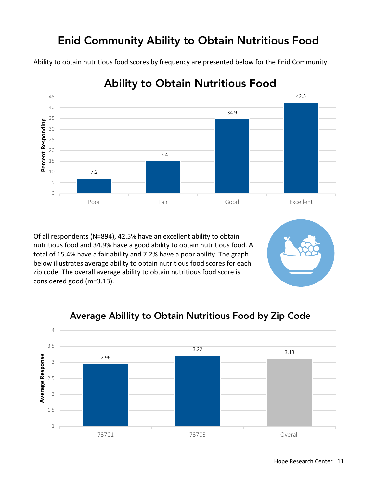## Enid Community Ability to Obtain Nutritious Food

Ability to obtain nutritious food scores by frequency are presented below for the Enid Community.

![](_page_10_Figure_2.jpeg)

## Ability to Obtain Nutritious Food

Of all respondents (N=894), 42.5% have an excellent ability to obtain nutritious food and 34.9% have a good ability to obtain nutritious food. A total of 15.4% have a fair ability and 7.2% have a poor ability. The graph below illustrates average ability to obtain nutritious food scores for each zip code. The overall average ability to obtain nutritious food score is considered good (m=3.13).

#### 4 3.5 3.22 3.13 Average Response **Average Response** 2.96 3 2.5 2 1.5 1 73701 73703 Overall

#### Average Abillity to Obtain Nutritious Food by Zip Code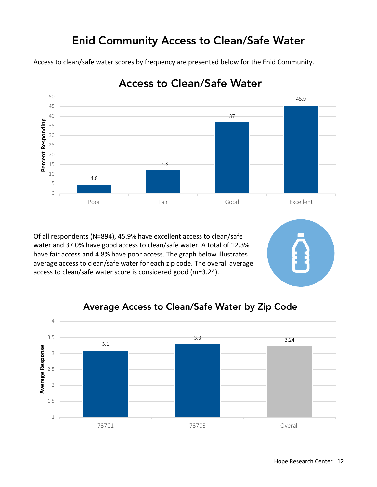## Enid Community Access to Clean/Safe Water

Access to clean/safe water scores by frequency are presented below for the Enid Community.

![](_page_11_Figure_2.jpeg)

Access to Clean/Safe Water

Of all respondents (N=894), 45.9% have excellent access to clean/safe water and 37.0% have good access to clean/safe water. A total of 12.3% have fair access and 4.8% have poor access. The graph below illustrates average access to clean/safe water for each zip code. The overall average access to clean/safe water score is considered good (m=3.24).

### Average Access to Clean/Safe Water by Zip Code

![](_page_11_Figure_6.jpeg)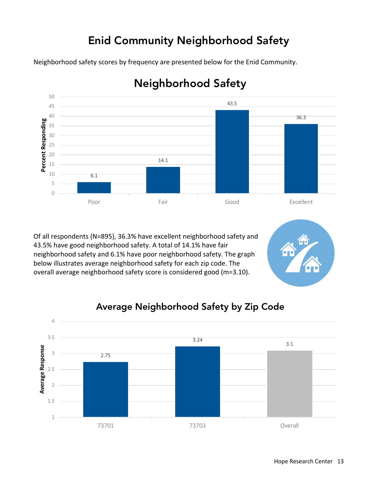## Enid Community Neighborhood Safety

Neighborhood safety scores by frequency are presented below for the Enid Community.

![](_page_12_Figure_2.jpeg)

## Neighborhood Safety

Of all respondents (N=895), 36.3% have excellent neighborhood safety and 43.5% have good neighborhood safety. A total of 14.1% have fair neighborhood safety and 6.1% have poor neighborhood safety. The graph below illustrates average neighborhood safety for each zip code. The overall average neighborhood safety score is considered good (m=3.10).

![](_page_12_Figure_5.jpeg)

### Average Neighborhood Safety by Zip Code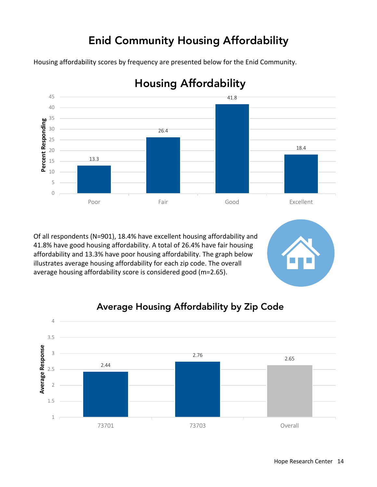## Enid Community Housing Affordability

Housing affordability scores by frequency are presented below for the Enid Community.

![](_page_13_Figure_2.jpeg)

## Housing Affordability

Of all respondents (N=901), 18.4% have excellent housing affordability and 41.8% have good housing affordability. A total of 26.4% have fair housing affordability and 13.3% have poor housing affordability. The graph below illustrates average housing affordability for each zip code. The overall average housing affordability score is considered good (m=2.65).

### Average Housing Affordability by Zip Code

![](_page_13_Figure_6.jpeg)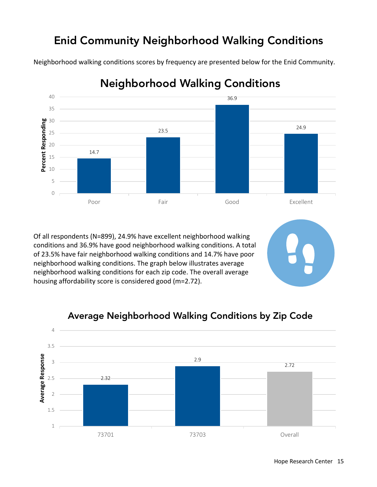## Enid Community Neighborhood Walking Conditions

Neighborhood walking conditions scores by frequency are presented below for the Enid Community.

![](_page_14_Figure_2.jpeg)

## Neighborhood Walking Conditions

Of all respondents (N=899), 24.9% have excellent neighborhood walking conditions and 36.9% have good neighborhood walking conditions. A total of 23.5% have fair neighborhood walking conditions and 14.7% have poor neighborhood walking conditions. The graph below illustrates average neighborhood walking conditions for each zip code. The overall average housing affordability score is considered good (m=2.72).

#### 4 3.5 **Average Response Average Response** 2.9 3 2.72 2.5 2.32 2 1.5 1 73701 73703 Overall

### Average Neighborhood Walking Conditions by Zip Code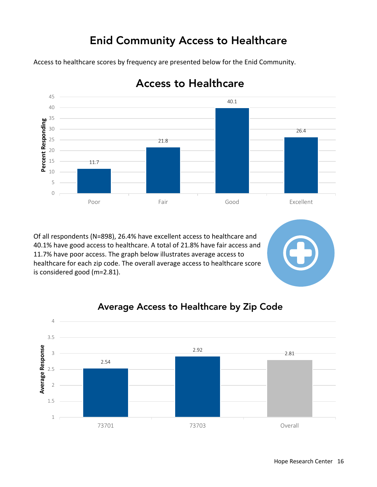## Enid Community Access to Healthcare

Access to healthcare scores by frequency are presented below for the Enid Community.

![](_page_15_Figure_2.jpeg)

### Access to Healthcare

Of all respondents (N=898), 26.4% have excellent access to healthcare and 40.1% have good access to healthcare. A total of 21.8% have fair access and 11.7% have poor access. The graph below illustrates average access to healthcare for each zip code. The overall average access to healthcare score is considered good (m=2.81).

#### Average Access to Healthcare by Zip Code

![](_page_15_Figure_6.jpeg)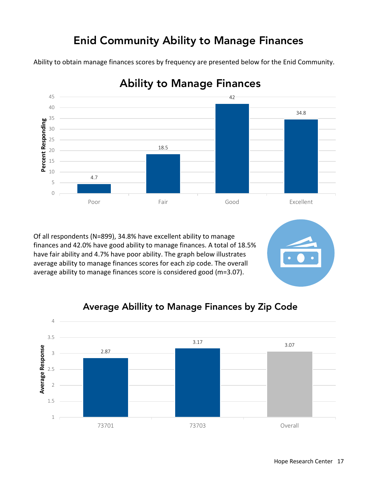## Enid Community Ability to Manage Finances

Ability to obtain manage finances scores by frequency are presented below for the Enid Community.

![](_page_16_Figure_2.jpeg)

### Ability to Manage Finances

Of all respondents (N=899), 34.8% have excellent ability to manage finances and 42.0% have good ability to manage finances. A total of 18.5% have fair ability and 4.7% have poor ability. The graph below illustrates average ability to manage finances scores for each zip code. The overall average ability to manage finances score is considered good (m=3.07).

#### Average Abillity to Manage Finances by Zip Code

![](_page_16_Figure_6.jpeg)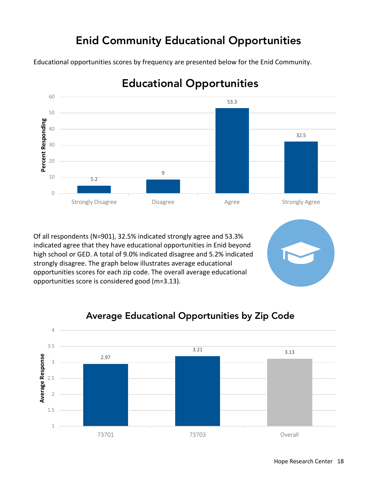## Enid Community Educational Opportunities

Educational opportunities scores by frequency are presented below for the Enid Community.

![](_page_17_Figure_2.jpeg)

## Educational Opportunities

Of all respondents (N=901), 32.5% indicated strongly agree and 53.3% indicated agree that they have educational opportunities in Enid beyond high school or GED. A total of 9.0% indicated disagree and 5.2% indicated strongly disagree. The graph below illustrates average educational opportunities scores for each zip code. The overall average educational opportunities score is considered good (m=3.13).

### Average Educational Opportunities by Zip Code

![](_page_17_Figure_6.jpeg)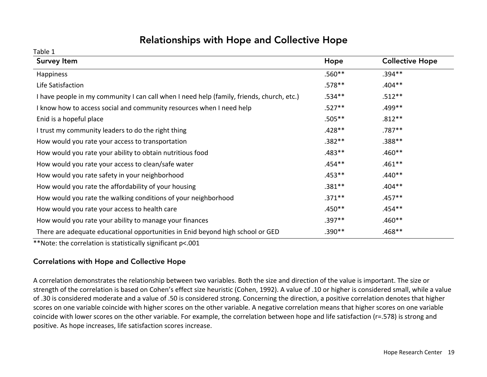### Relationships with Hope and Collective Hope

Table 1

| <b>Survey Item</b>                                                                        | Hope      | <b>Collective Hope</b> |
|-------------------------------------------------------------------------------------------|-----------|------------------------|
| Happiness                                                                                 | $.560**$  | $.394**$               |
| Life Satisfaction                                                                         | $.578**$  | $.404**$               |
| I have people in my community I can call when I need help (family, friends, church, etc.) | $.534**$  | $.512**$               |
| I know how to access social and community resources when I need help                      | $.527**$  | .499 **                |
| Enid is a hopeful place                                                                   | $.505***$ | $.812***$              |
| I trust my community leaders to do the right thing                                        | $.428**$  | $.787**$               |
| How would you rate your access to transportation                                          | $.382**$  | $.388***$              |
| How would you rate your ability to obtain nutritious food                                 | $.483***$ | $.460**$               |
| How would you rate your access to clean/safe water                                        | .454**    | $.461***$              |
| How would you rate safety in your neighborhood                                            | $.453***$ | $.440**$               |
| How would you rate the affordability of your housing                                      | $.381***$ | $.404**$               |
| How would you rate the walking conditions of your neighborhood                            | $.371***$ | $.457**$               |
| How would you rate your access to health care                                             | $.450**$  | $.454**$               |
| How would you rate your ability to manage your finances                                   | $.397**$  | $.460**$               |
| There are adequate educational opportunities in Enid beyond high school or GED            | $.390**$  | $.468**$               |

\*\*Note: the correlation is statistically significant p<.001

#### Correlations with Hope and Collective Hope

A correlation demonstrates the relationship between two variables. Both the size and direction of the value is important. The size or strength of the correlation is based on Cohen's effect size heuristic (Cohen, 1992). A value of .10 or higher is considered small, while a value of .30 is considered moderate and a value of .50 is considered strong. Concerning the direction, a positive correlation denotes that higher scores on one variable coincide with higher scores on the other variable. A negative correlation means that higher scores on one variable coincide with lower scores on the other variable. For example, the correlation between hope and life satisfaction (r=.578) is strong and positive. As hope increases, life satisfaction scores increase.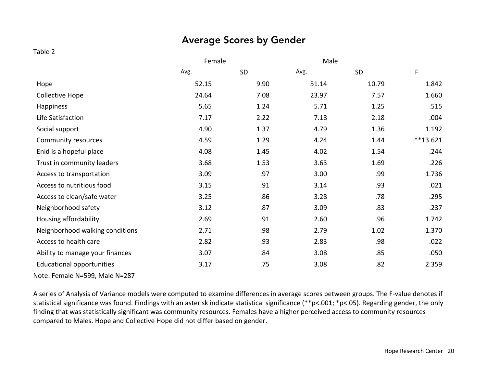### Average Scores by Gender

#### Table 2

|                                  | Female |      | Male  |       |            |
|----------------------------------|--------|------|-------|-------|------------|
|                                  | Avg.   | SD   | Avg.  | SD    | F          |
| Hope                             | 52.15  | 9.90 | 51.14 | 10.79 | 1.842      |
| Collective Hope                  | 24.64  | 7.08 | 23.97 | 7.57  | 1.660      |
| Happiness                        | 5.65   | 1.24 | 5.71  | 1.25  | .515       |
| Life Satisfaction                | 7.17   | 2.22 | 7.18  | 2.18  | .004       |
| Social support                   | 4.90   | 1.37 | 4.79  | 1.36  | 1.192      |
| Community resources              | 4.59   | 1.29 | 4.24  | 1.44  | $**13.621$ |
| Enid is a hopeful place          | 4.08   | 1.45 | 4.02  | 1.54  | .244       |
| Trust in community leaders       | 3.68   | 1.53 | 3.63  | 1.69  | .226       |
| Access to transportation         | 3.09   | .97  | 3.00  | .99   | 1.736      |
| Access to nutritious food        | 3.15   | .91  | 3.14  | .93   | .021       |
| Access to clean/safe water       | 3.25   | .86  | 3.28  | .78   | .295       |
| Neighborhood safety              | 3.12   | .87  | 3.09  | .83   | .237       |
| Housing affordability            | 2.69   | .91  | 2.60  | .96   | 1.742      |
| Neighborhood walking conditions  | 2.71   | .98  | 2.79  | 1.02  | 1.370      |
| Access to health care            | 2.82   | .93  | 2.83  | .98   | .022       |
| Ability to manage your finances  | 3.07   | .84  | 3.08  | .85   | .050       |
| <b>Educational opportunities</b> | 3.17   | .75  | 3.08  | .82   | 2.359      |

Note: Female N=599, Male N=287

A series of Analysis of Variance models were computed to examine differences in average scores between groups. The F-value denotes if statistical significance was found. Findings with an asterisk indicate statistical significance (\*\*p<.001; \*p<.05). Regarding gender, the only finding that was statistically significant was community resources. Females have a higher perceived access to community resources compared to Males. Hope and Collective Hope did not differ based on gender.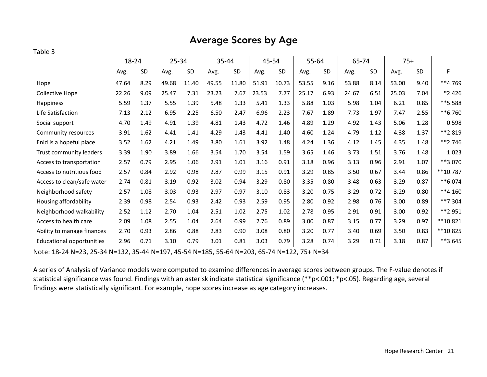#### Average Scores by Age

#### Table 3

|                                  | 18-24 |           | $25 - 34$<br>35-44 |           | 45-54 |           | 55-64 |       | 65-74 |           | $75+$ |           |       |      |            |
|----------------------------------|-------|-----------|--------------------|-----------|-------|-----------|-------|-------|-------|-----------|-------|-----------|-------|------|------------|
|                                  | Avg.  | <b>SD</b> | Avg.               | <b>SD</b> | Avg.  | <b>SD</b> | Avg.  | SD    | Avg.  | <b>SD</b> | Avg.  | <b>SD</b> | Avg.  | SD   | F          |
| Hope                             | 47.64 | 8.29      | 49.68              | 11.40     | 49.55 | 11.80     | 51.91 | 10.73 | 53.55 | 9.16      | 53.88 | 8.14      | 53.00 | 9.40 | **4.769    |
| Collective Hope                  | 22.26 | 9.09      | 25.47              | 7.31      | 23.23 | 7.67      | 23.53 | 7.77  | 25.17 | 6.93      | 24.67 | 6.51      | 25.03 | 7.04 | $*2.426$   |
| Happiness                        | 5.59  | 1.37      | 5.55               | 1.39      | 5.48  | 1.33      | 5.41  | 1.33  | 5.88  | 1.03      | 5.98  | 1.04      | 6.21  | 0.85 | **5.588    |
| Life Satisfaction                | 7.13  | 2.12      | 6.95               | 2.25      | 6.50  | 2.47      | 6.96  | 2.23  | 7.67  | 1.89      | 7.73  | 1.97      | 7.47  | 2.55 | **6.760    |
| Social support                   | 4.70  | 1.49      | 4.91               | 1.39      | 4.81  | 1.43      | 4.72  | 1.46  | 4.89  | 1.29      | 4.92  | 1.43      | 5.06  | 1.28 | 0.598      |
| Community resources              | 3.91  | 1.62      | 4.41               | 1.41      | 4.29  | 1.43      | 4.41  | 1.40  | 4.60  | 1.24      | 4.79  | 1.12      | 4.38  | 1.37 | **2.819    |
| Enid is a hopeful place          | 3.52  | 1.62      | 4.21               | 1.49      | 3.80  | 1.61      | 3.92  | 1.48  | 4.24  | 1.36      | 4.12  | 1.45      | 4.35  | 1.48 | $***2.746$ |
| Trust community leaders          | 3.39  | 1.90      | 3.89               | 1.66      | 3.54  | 1.70      | 3.54  | 1.59  | 3.65  | 1.46      | 3.73  | 1.51      | 3.76  | 1.48 | 1.023      |
| Access to transportation         | 2.57  | 0.79      | 2.95               | 1.06      | 2.91  | 1.01      | 3.16  | 0.91  | 3.18  | 0.96      | 3.13  | 0.96      | 2.91  | 1.07 | **3.070    |
| Access to nutritious food        | 2.57  | 0.84      | 2.92               | 0.98      | 2.87  | 0.99      | 3.15  | 0.91  | 3.29  | 0.85      | 3.50  | 0.67      | 3.44  | 0.86 | **10.787   |
| Access to clean/safe water       | 2.74  | 0.81      | 3.19               | 0.92      | 3.02  | 0.94      | 3.29  | 0.80  | 3.35  | 0.80      | 3.48  | 0.63      | 3.29  | 0.87 | **6.074    |
| Neighborhood safety              | 2.57  | 1.08      | 3.03               | 0.93      | 2.97  | 0.97      | 3.10  | 0.83  | 3.20  | 0.75      | 3.29  | 0.72      | 3.29  | 0.80 | $**4.160$  |
| Housing affordability            | 2.39  | 0.98      | 2.54               | 0.93      | 2.42  | 0.93      | 2.59  | 0.95  | 2.80  | 0.92      | 2.98  | 0.76      | 3.00  | 0.89 | **7.304    |
| Neighborhood walkability         | 2.52  | 1.12      | 2.70               | 1.04      | 2.51  | 1.02      | 2.75  | 1.02  | 2.78  | 0.95      | 2.91  | 0.91      | 3.00  | 0.92 | **2.951    |
| Access to health care            | 2.09  | 1.08      | 2.55               | 1.04      | 2.64  | 0.99      | 2.76  | 0.89  | 3.00  | 0.87      | 3.15  | 0.77      | 3.29  | 0.97 | $**10.821$ |
| Ability to manage finances       | 2.70  | 0.93      | 2.86               | 0.88      | 2.83  | 0.90      | 3.08  | 0.80  | 3.20  | 0.77      | 3.40  | 0.69      | 3.50  | 0.83 | **10.825   |
| <b>Educational opportunities</b> | 2.96  | 0.71      | 3.10               | 0.79      | 3.01  | 0.81      | 3.03  | 0.79  | 3.28  | 0.74      | 3.29  | 0.71      | 3.18  | 0.87 | **3.645    |

Note: 18-24 N=23, 25-34 N=132, 35-44 N=197, 45-54 N=185, 55-64 N=203, 65-74 N=122, 75+ N=34

A series of Analysis of Variance models were computed to examine differences in average scores between groups. The F-value denotes if statistical significance was found. Findings with an asterisk indicate statistical significance (\*\*p<.001; \*p<.05). Regarding age, several findings were statistically significant. For example, hope scores increase as age category increases.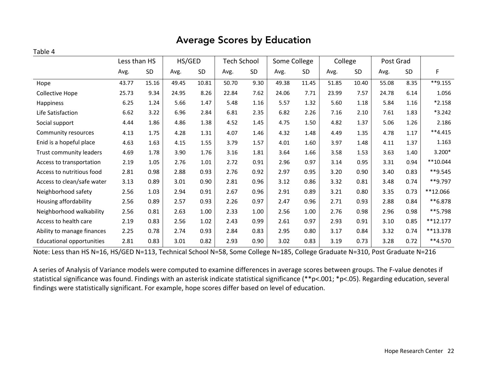### Average Scores by Education

#### Table 4

|                                  | Less than HS |       | HS/GED |       | Tech School |           | Some College |           | College |       | Post Grad |           |            |
|----------------------------------|--------------|-------|--------|-------|-------------|-----------|--------------|-----------|---------|-------|-----------|-----------|------------|
|                                  | Avg.         | SD    | Avg.   | SD    | Avg.        | <b>SD</b> | Avg.         | <b>SD</b> | Avg.    | SD    | Avg.      | <b>SD</b> | F          |
| Hope                             | 43.77        | 15.16 | 49.45  | 10.81 | 50.70       | 9.30      | 49.38        | 11.45     | 51.85   | 10.40 | 55.08     | 8.35      | $*$ *9.155 |
| Collective Hope                  | 25.73        | 9.34  | 24.95  | 8.26  | 22.84       | 7.62      | 24.06        | 7.71      | 23.99   | 7.57  | 24.78     | 6.14      | 1.056      |
| Happiness                        | 6.25         | 1.24  | 5.66   | 1.47  | 5.48        | 1.16      | 5.57         | 1.32      | 5.60    | 1.18  | 5.84      | 1.16      | $*2.158$   |
| Life Satisfaction                | 6.62         | 3.22  | 6.96   | 2.84  | 6.81        | 2.35      | 6.82         | 2.26      | 7.16    | 2.10  | 7.61      | 1.83      | $*3.242$   |
| Social support                   | 4.44         | 1.86  | 4.86   | 1.38  | 4.52        | 1.45      | 4.75         | 1.50      | 4.82    | 1.37  | 5.06      | 1.26      | 2.186      |
| Community resources              | 4.13         | 1.75  | 4.28   | 1.31  | 4.07        | 1.46      | 4.32         | 1.48      | 4.49    | 1.35  | 4.78      | 1.17      | $**4.415$  |
| Enid is a hopeful place          | 4.63         | 1.63  | 4.15   | 1.55  | 3.79        | 1.57      | 4.01         | 1.60      | 3.97    | 1.48  | 4.11      | 1.37      | 1.163      |
| Trust community leaders          | 4.69         | 1.78  | 3.90   | 1.76  | 3.16        | 1.81      | 3.64         | 1.66      | 3.58    | 1.53  | 3.63      | 1.40      | $3.200*$   |
| Access to transportation         | 2.19         | 1.05  | 2.76   | 1.01  | 2.72        | 0.91      | 2.96         | 0.97      | 3.14    | 0.95  | 3.31      | 0.94      | $**10.044$ |
| Access to nutritious food        | 2.81         | 0.98  | 2.88   | 0.93  | 2.76        | 0.92      | 2.97         | 0.95      | 3.20    | 0.90  | 3.40      | 0.83      | **9.545    |
| Access to clean/safe water       | 3.13         | 0.89  | 3.01   | 0.90  | 2.81        | 0.96      | 3.12         | 0.86      | 3.32    | 0.81  | 3.48      | 0.74      | **9.797    |
| Neighborhood safety              | 2.56         | 1.03  | 2.94   | 0.91  | 2.67        | 0.96      | 2.91         | 0.89      | 3.21    | 0.80  | 3.35      | 0.73      | **12.066   |
| Housing affordability            | 2.56         | 0.89  | 2.57   | 0.93  | 2.26        | 0.97      | 2.47         | 0.96      | 2.71    | 0.93  | 2.88      | 0.84      | **6.878    |
| Neighborhood walkability         | 2.56         | 0.81  | 2.63   | 1.00  | 2.33        | 1.00      | 2.56         | 1.00      | 2.76    | 0.98  | 2.96      | 0.98      | **5.798    |
| Access to health care            | 2.19         | 0.83  | 2.56   | 1.02  | 2.43        | 0.99      | 2.61         | 0.97      | 2.93    | 0.91  | 3.10      | 0.85      | $**12.177$ |
| Ability to manage finances       | 2.25         | 0.78  | 2.74   | 0.93  | 2.84        | 0.83      | 2.95         | 0.80      | 3.17    | 0.84  | 3.32      | 0.74      | **13.378   |
| <b>Educational opportunities</b> | 2.81         | 0.83  | 3.01   | 0.82  | 2.93        | 0.90      | 3.02         | 0.83      | 3.19    | 0.73  | 3.28      | 0.72      | $**4.570$  |

Note: Less than HS N=16, HS/GED N=113, Technical School N=58, Some College N=185, College Graduate N=310, Post Graduate N=216

A series of Analysis of Variance models were computed to examine differences in average scores between groups. The F-value denotes if statistical significance was found. Findings with an asterisk indicate statistical significance (\*\*p<.001; \*p<.05). Regarding education, several findings were statistically significant. For example, hope scores differ based on level of education.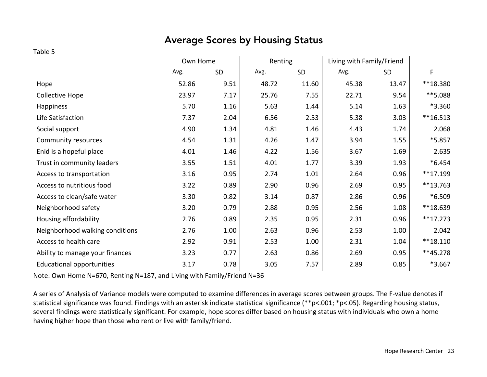### Average Scores by Housing Status

#### Table 5

|                                  | Own Home |      |       | Renting | Living with Family/Friend |       |            |
|----------------------------------|----------|------|-------|---------|---------------------------|-------|------------|
|                                  | Avg.     | SD   | Avg.  | SD      | Avg.                      | SD    | F          |
| Hope                             | 52.86    | 9.51 | 48.72 | 11.60   | 45.38                     | 13.47 | **18.380   |
| Collective Hope                  | 23.97    | 7.17 | 25.76 | 7.55    | 22.71                     | 9.54  | **5.088    |
| Happiness                        | 5.70     | 1.16 | 5.63  | 1.44    | 5.14                      | 1.63  | *3.360     |
| Life Satisfaction                | 7.37     | 2.04 | 6.56  | 2.53    | 5.38                      | 3.03  | $**16.513$ |
| Social support                   | 4.90     | 1.34 | 4.81  | 1.46    | 4.43                      | 1.74  | 2.068      |
| Community resources              | 4.54     | 1.31 | 4.26  | 1.47    | 3.94                      | 1.55  | *5.857     |
| Enid is a hopeful place          | 4.01     | 1.46 | 4.22  | 1.56    | 3.67                      | 1.69  | 2.635      |
| Trust in community leaders       | 3.55     | 1.51 | 4.01  | 1.77    | 3.39                      | 1.93  | $*6.454$   |
| Access to transportation         | 3.16     | 0.95 | 2.74  | 1.01    | 2.64                      | 0.96  | **17.199   |
| Access to nutritious food        | 3.22     | 0.89 | 2.90  | 0.96    | 2.69                      | 0.95  | **13.763   |
| Access to clean/safe water       | 3.30     | 0.82 | 3.14  | 0.87    | 2.86                      | 0.96  | *6.509     |
| Neighborhood safety              | 3.20     | 0.79 | 2.88  | 0.95    | 2.56                      | 1.08  | **18.639   |
| Housing affordability            | 2.76     | 0.89 | 2.35  | 0.95    | 2.31                      | 0.96  | $**17.273$ |
| Neighborhood walking conditions  | 2.76     | 1.00 | 2.63  | 0.96    | 2.53                      | 1.00  | 2.042      |
| Access to health care            | 2.92     | 0.91 | 2.53  | 1.00    | 2.31                      | 1.04  | $**18.110$ |
| Ability to manage your finances  | 3.23     | 0.77 | 2.63  | 0.86    | 2.69                      | 0.95  | **45.278   |
| <b>Educational opportunities</b> | 3.17     | 0.78 | 3.05  | 7.57    | 2.89                      | 0.85  | *3.667     |

Note: Own Home N=670, Renting N=187, and Living with Family/Friend N=36

A series of Analysis of Variance models were computed to examine differences in average scores between groups. The F-value denotes if statistical significance was found. Findings with an asterisk indicate statistical significance (\*\*p<.001; \*p<.05). Regarding housing status, several findings were statistically significant. For example, hope scores differ based on housing status with individuals who own a home having higher hope than those who rent or live with family/friend.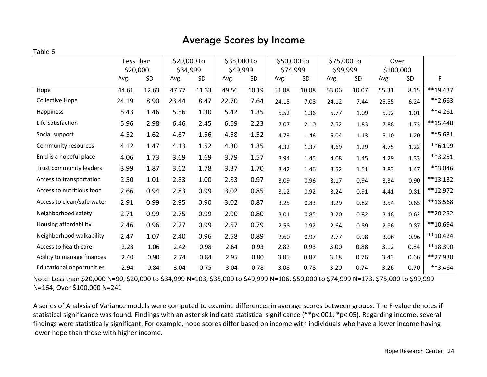### Average Scores by Income

#### Table 6

|                                  | Less than |       | \$20,000 to<br>\$34,999 |           | \$35,000 to |           | \$50,000 to |           | \$75,000 to |           | Over      |           |            |
|----------------------------------|-----------|-------|-------------------------|-----------|-------------|-----------|-------------|-----------|-------------|-----------|-----------|-----------|------------|
|                                  | \$20,000  |       |                         |           | \$49,999    |           | \$74,999    |           | \$99,999    |           | \$100,000 |           |            |
|                                  | Avg.      | SD    | Avg.                    | <b>SD</b> | Avg.        | <b>SD</b> | Avg.        | <b>SD</b> | Avg.        | <b>SD</b> | Avg.      | <b>SD</b> | F          |
| Hope                             | 44.61     | 12.63 | 47.77                   | 11.33     | 49.56       | 10.19     | 51.88       | 10.08     | 53.06       | 10.07     | 55.31     | 8.15      | $**19.437$ |
| <b>Collective Hope</b>           | 24.19     | 8.90  | 23.44                   | 8.47      | 22.70       | 7.64      | 24.15       | 7.08      | 24.12       | 7.44      | 25.55     | 6.24      | $**2.663$  |
| Happiness                        | 5.43      | 1.46  | 5.56                    | 1.30      | 5.42        | 1.35      | 5.52        | 1.36      | 5.77        | 1.09      | 5.92      | $1.01\,$  | $**4.261$  |
| Life Satisfaction                | 5.96      | 2.98  | 6.46                    | 2.45      | 6.69        | 2.23      | 7.07        | 2.10      | 7.52        | 1.83      | 7.88      | 1.73      | **15.448   |
| Social support                   | 4.52      | 1.62  | 4.67                    | 1.56      | 4.58        | 1.52      | 4.73        | 1.46      | 5.04        | 1.13      | 5.10      | 1.20      | $**5.631$  |
| Community resources              | 4.12      | 1.47  | 4.13                    | 1.52      | 4.30        | 1.35      | 4.32        | 1.37      | 4.69        | 1.29      | 4.75      | 1.22      | **6.199    |
| Enid is a hopeful place          | 4.06      | 1.73  | 3.69                    | 1.69      | 3.79        | 1.57      | 3.94        | 1.45      | 4.08        | 1.45      | 4.29      | 1.33      | $**3.251$  |
| Trust community leaders          | 3.99      | 1.87  | 3.62                    | 1.78      | 3.37        | 1.70      | 3.42        | 1.46      | 3.52        | 1.51      | 3.83      | 1.47      | **3.046    |
| Access to transportation         | 2.50      | 1.01  | 2.83                    | 1.00      | 2.83        | 0.97      | 3.09        | 0.96      | 3.17        | 0.94      | 3.34      | 0.90      | $**13.132$ |
| Access to nutritious food        | 2.66      | 0.94  | 2.83                    | 0.99      | 3.02        | 0.85      | 3.12        | 0.92      | 3.24        | 0.91      | 4.41      | 0.81      | **12.972   |
| Access to clean/safe water       | 2.91      | 0.99  | 2.95                    | 0.90      | 3.02        | 0.87      | 3.25        | 0.83      | 3.29        | 0.82      | 3.54      | 0.65      | **13.568   |
| Neighborhood safety              | 2.71      | 0.99  | 2.75                    | 0.99      | 2.90        | 0.80      | 3.01        | 0.85      | 3.20        | 0.82      | 3.48      | 0.62      | **20.252   |
| Housing affordability            | 2.46      | 0.96  | 2.27                    | 0.99      | 2.57        | 0.79      | 2.58        | 0.92      | 2.64        | 0.89      | 2.96      | 0.87      | $**10.694$ |
| Neighborhood walkability         | 2.47      | 1.07  | 2.40                    | 0.96      | 2.58        | 0.89      | 2.60        | 0.97      | 2.77        | 0.98      | 3.06      | 0.96      | $**10.424$ |
| Access to health care            | 2.28      | 1.06  | 2.42                    | 0.98      | 2.64        | 0.93      | 2.82        | 0.93      | 3.00        | 0.88      | 3.12      | 0.84      | **18.390   |
| Ability to manage finances       | 2.40      | 0.90  | 2.74                    | 0.84      | 2.95        | 0.80      | 3.05        | 0.87      | 3.18        | 0.76      | 3.43      | 0.66      | **27.930   |
| <b>Educational opportunities</b> | 2.94      | 0.84  | 3.04                    | 0.75      | 3.04        | 0.78      | 3.08        | 0.78      | 3.20        | 0.74      | 3.26      | 0.70      | **3.464    |

Note: Less than \$20,000 N=90, \$20,000 to \$34,999 N=103, \$35,000 to \$49,999 N=106, \$50,000 to \$74,999 N=173, \$75,000 to \$99,999 N=164, Over \$100,000 N=241

A series of Analysis of Variance models were computed to examine differences in average scores between groups. The F-value denotes if statistical significance was found. Findings with an asterisk indicate statistical significance (\*\*p<.001; \*p<.05). Regarding income, several findings were statistically significant. For example, hope scores differ based on income with individuals who have a lower income having lower hope than those with higher income.